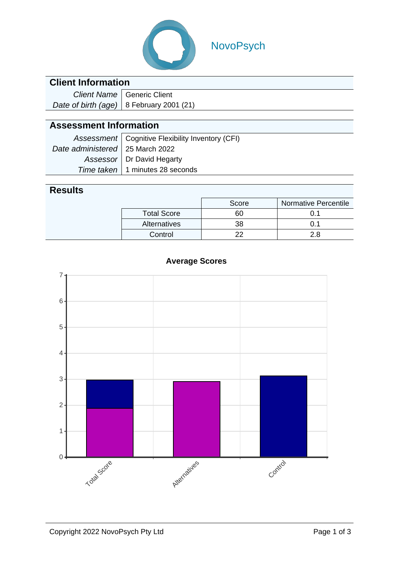

# NovoPsych

## **Client Information**

| Client Name   Generic Client               |
|--------------------------------------------|
| Date of birth (age)   8 February 2001 (21) |

## **Assessment Information**

|                                   | Assessment   Cognitive Flexibility Inventory (CFI) |
|-----------------------------------|----------------------------------------------------|
| Date administered   25 March 2022 |                                                    |
|                                   | Assessor   Dr David Hegarty                        |
|                                   | Time taken   1 minutes 28 seconds                  |

### **Results**

|                    | Score | <b>Normative Percentile</b> |
|--------------------|-------|-----------------------------|
| <b>Total Score</b> | 60    |                             |
| Alternatives       | 38    |                             |
| Control            |       | 2Я                          |



#### **Average Scores**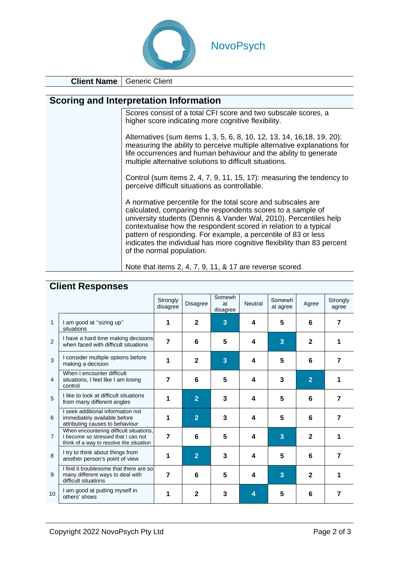

**Client Name** | Generic Client

#### **Scoring and Interpretation Information**

| Scores consist of a total CFI score and two subscale scores, a |
|----------------------------------------------------------------|
| higher score indicating more cognitive flexibility.            |

Alternatives (sum items 1, 3, 5, 6, 8, 10, 12, 13, 14, 16,18, 19, 20): measuring the ability to perceive multiple alternative explanations for life occurrences and human behaviour and the ability to generate multiple alternative solutions to difficult situations.

Control (sum items 2, 4, 7, 9, 11, 15, 17): measuring the tendency to perceive difficult situations as controllable.

A normative percentile for the total score and subscales are calculated, comparing the respondents scores to a sample of university students (Dennis & Vander Wal, 2010). Percentiles help contextualise how the respondent scored in relation to a typical pattern of responding. For example, a percentile of 83 or less indicates the individual has more cognitive flexibility than 83 percent of the normal population.

Note that items 2, 4, 7, 9, 11, & 17 are reverse scored.

|                | <b>OUGHT HOODOHOOD</b>                                                                                                    |                      |                 |                          |         |                    |                |                   |
|----------------|---------------------------------------------------------------------------------------------------------------------------|----------------------|-----------------|--------------------------|---------|--------------------|----------------|-------------------|
|                |                                                                                                                           | Strongly<br>disagree | <b>Disagree</b> | Somewh<br>at<br>disagree | Neutral | Somewh<br>at agree | Agree          | Strongly<br>agree |
| 1              | I am good at "sizing up"<br>situations                                                                                    | 1                    | $\mathbf{2}$    | 3                        | 4       | 5                  | 6              | 7                 |
| 2              | I have a hard time making decisions<br>when faced with difficult situations                                               | $\overline{7}$       | 6               | 5                        | 4       | 3                  | $\mathbf{2}$   |                   |
| 3              | I consider multiple options before<br>making a decision                                                                   | 1                    | $\mathbf{2}$    | 3                        | 4       | 5                  | 6              | 7                 |
| 4              | When I encounter difficult<br>situations, I feel like I am losing<br>control                                              | $\overline{7}$       | 6               | 5                        | 4       | 3                  | $\overline{2}$ |                   |
| 5              | I like to look at difficult situations<br>from many different angles                                                      | 1                    | $\overline{2}$  | 3                        | 4       | 5                  | 6              | 7                 |
| 6              | I seek additional information not<br>immediately available before<br>attributing causes to behaviour                      | 1                    | $\overline{2}$  | 3                        | 4       | 5                  | 6              | 7                 |
| $\overline{7}$ | When encountering difficult situations,<br>I become so stressed that I can not<br>think of a way to resolve the situation | $\overline{7}$       | 6               | 5                        | 4       | 3                  | $\mathbf{2}$   |                   |
| 8              | I try to think about things from<br>another person's point of view                                                        | 1                    | $\overline{2}$  | 3                        | 4       | 5                  | 6              | 7                 |
| 9              | I find it troublesome that there are so<br>many different ways to deal with<br>difficult situations                       | 7                    | 6               | 5                        | 4       | 3                  | $\mathbf{2}$   |                   |
| 10             | I am good at putting myself in<br>others' shoes                                                                           | 1                    | $\mathbf{2}$    | 3                        | 4       | 5                  | 6              | 7                 |

### **Client Responses**